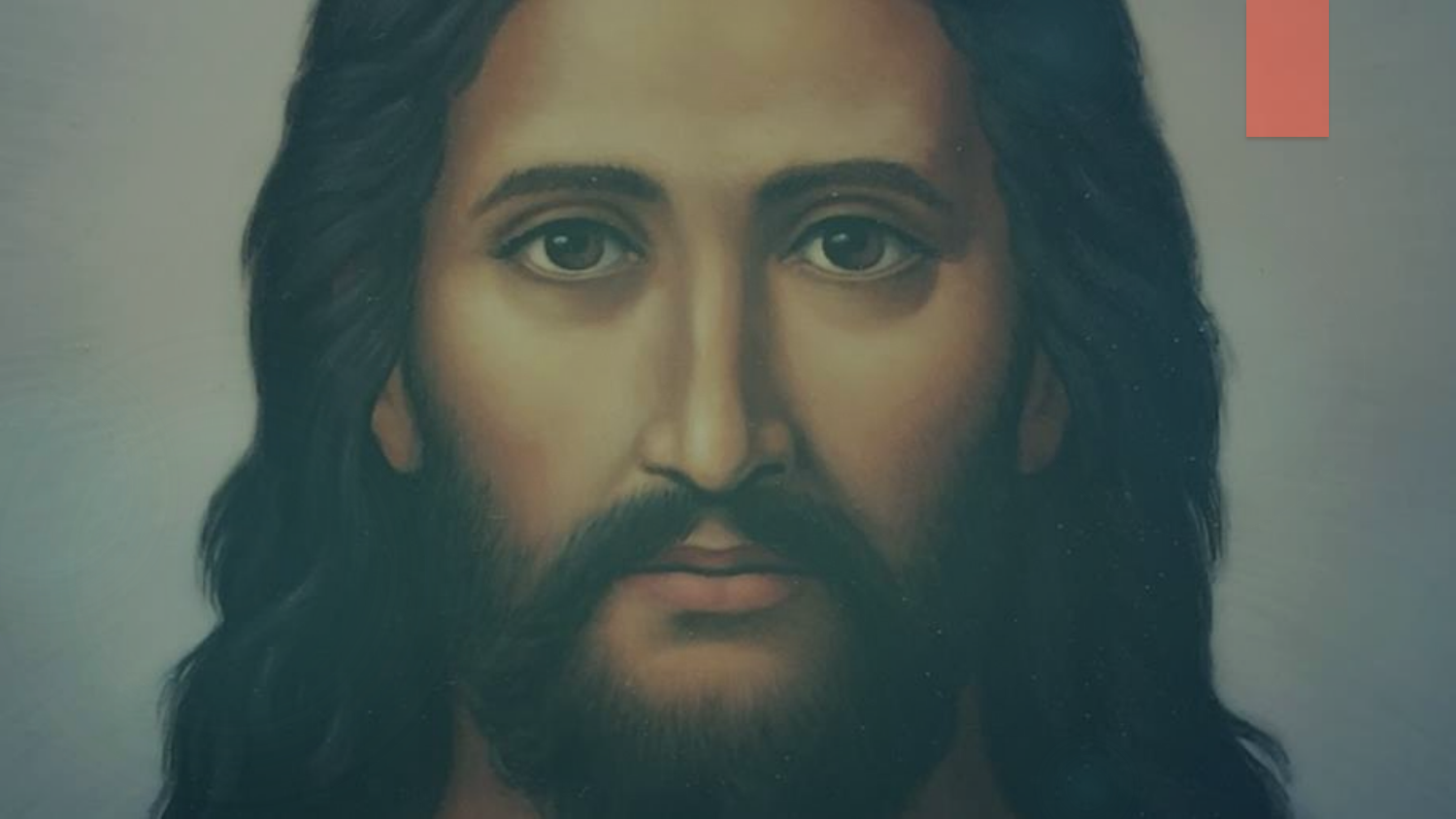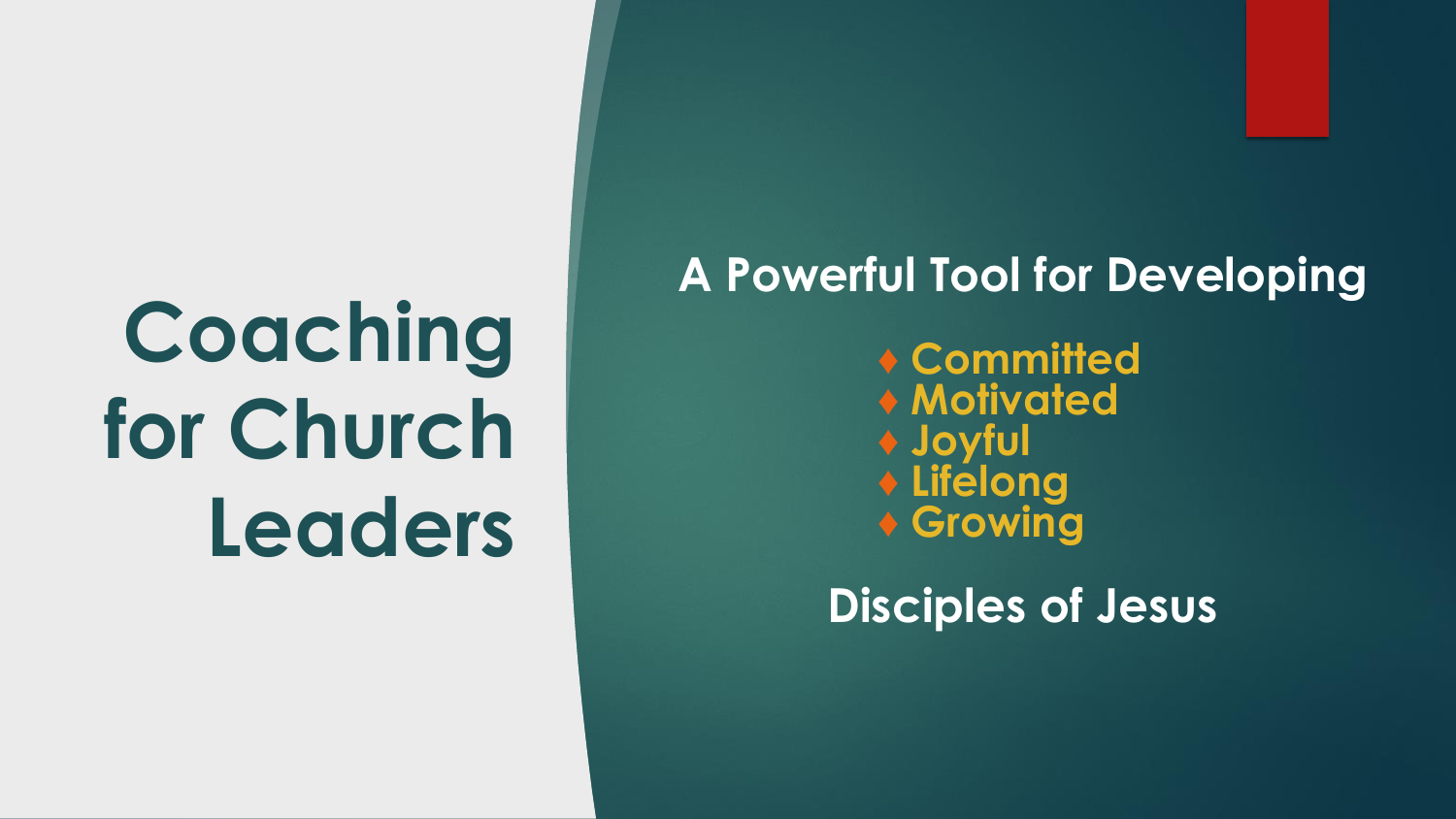# **Coaching for Church Leaders**

#### **A Powerful Tool for Developing**

**♦️ Committed ♦️ Motivated ♦️ Joyful ♦️ Lifelong ♦️ Growing**

**Disciples of Jesus**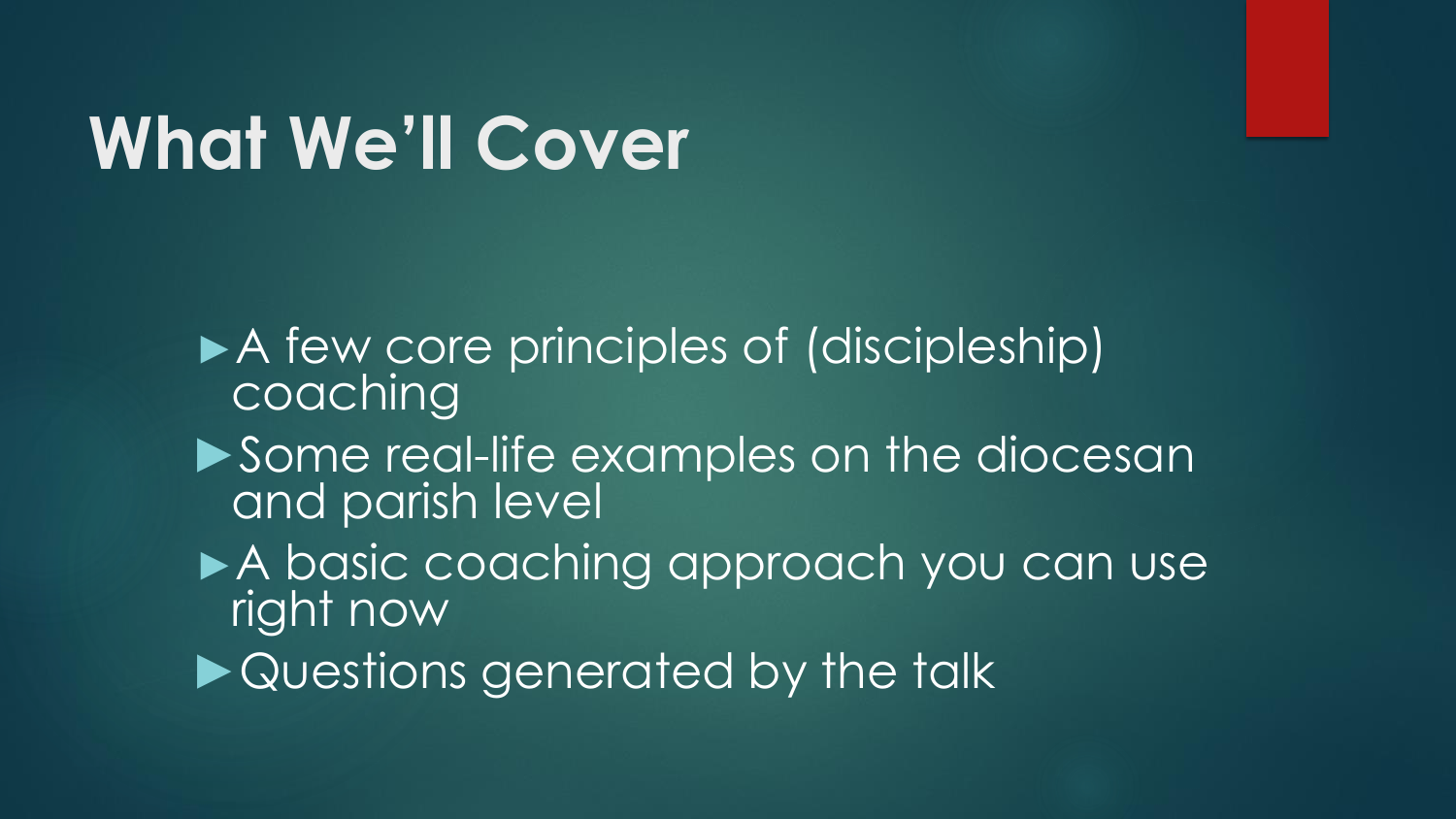## **What We'll Cover**

►A few core principles of (discipleship) coaching

- ▶ Some real-life examples on the diocesan and parish level
- ►A basic coaching approach you can use right now
- ▶ Questions generated by the talk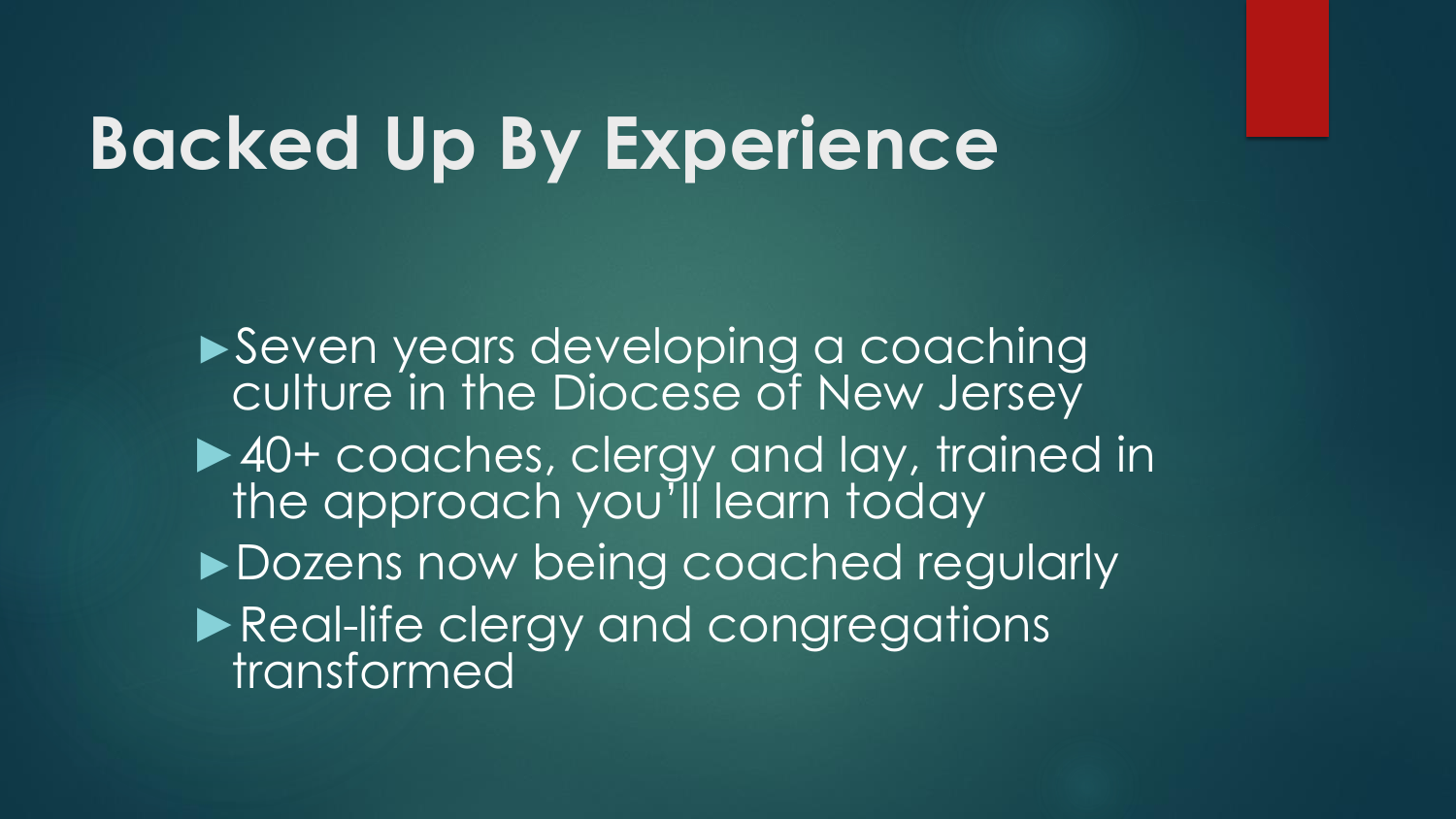## **Backed Up By Experience**

►Seven years developing a coaching culture in the Diocese of New Jersey ►40+ coaches, clergy and lay, trained in the approach you'll learn today ►Dozens now being coached regularly ▶Real-life clergy and congregations transformed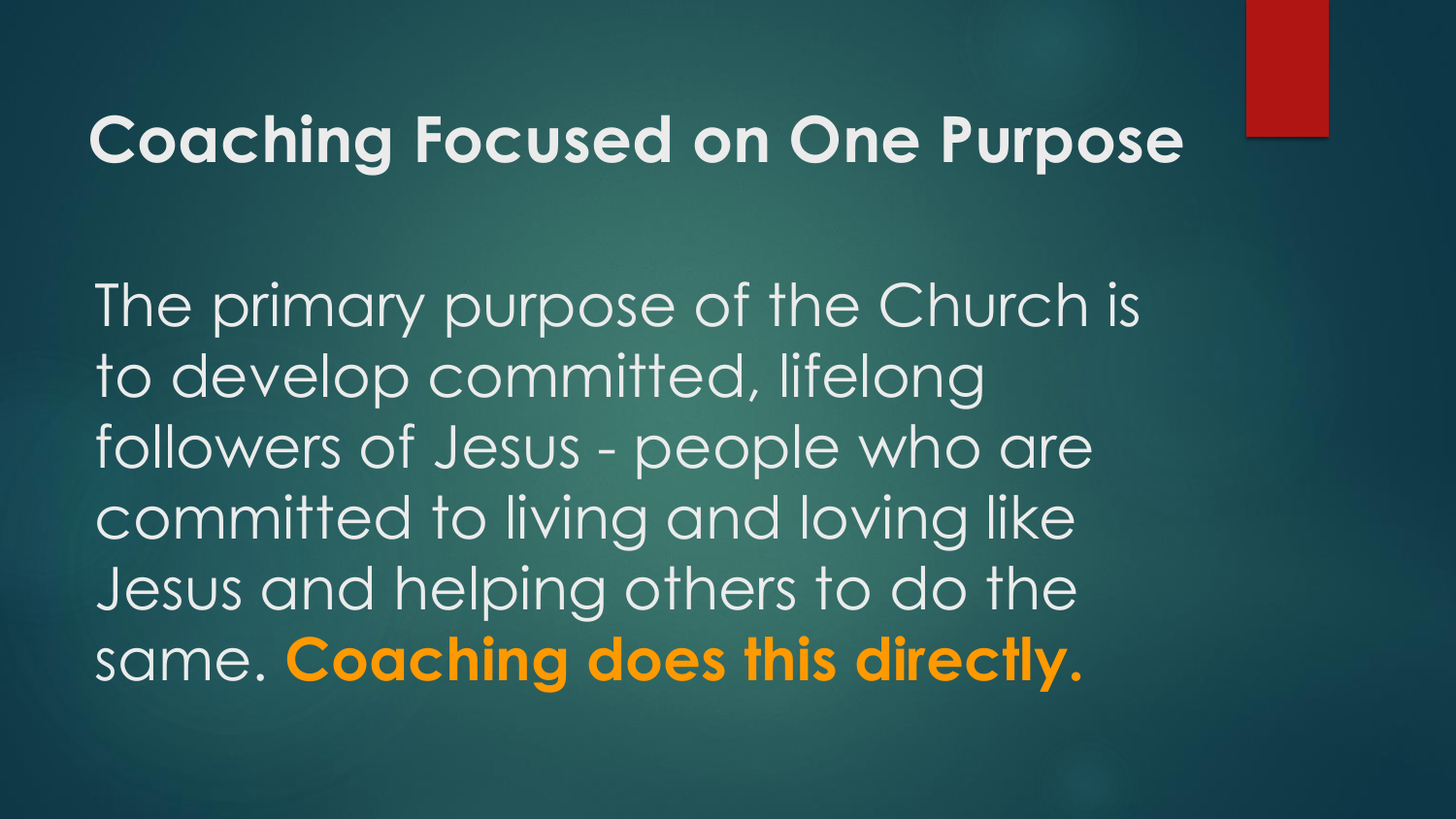#### **Coaching Focused on One Purpose**

The primary purpose of the Church is to develop committed, lifelong followers of Jesus - people who are committed to living and loving like Jesus and helping others to do the same. **Coaching does this directly.**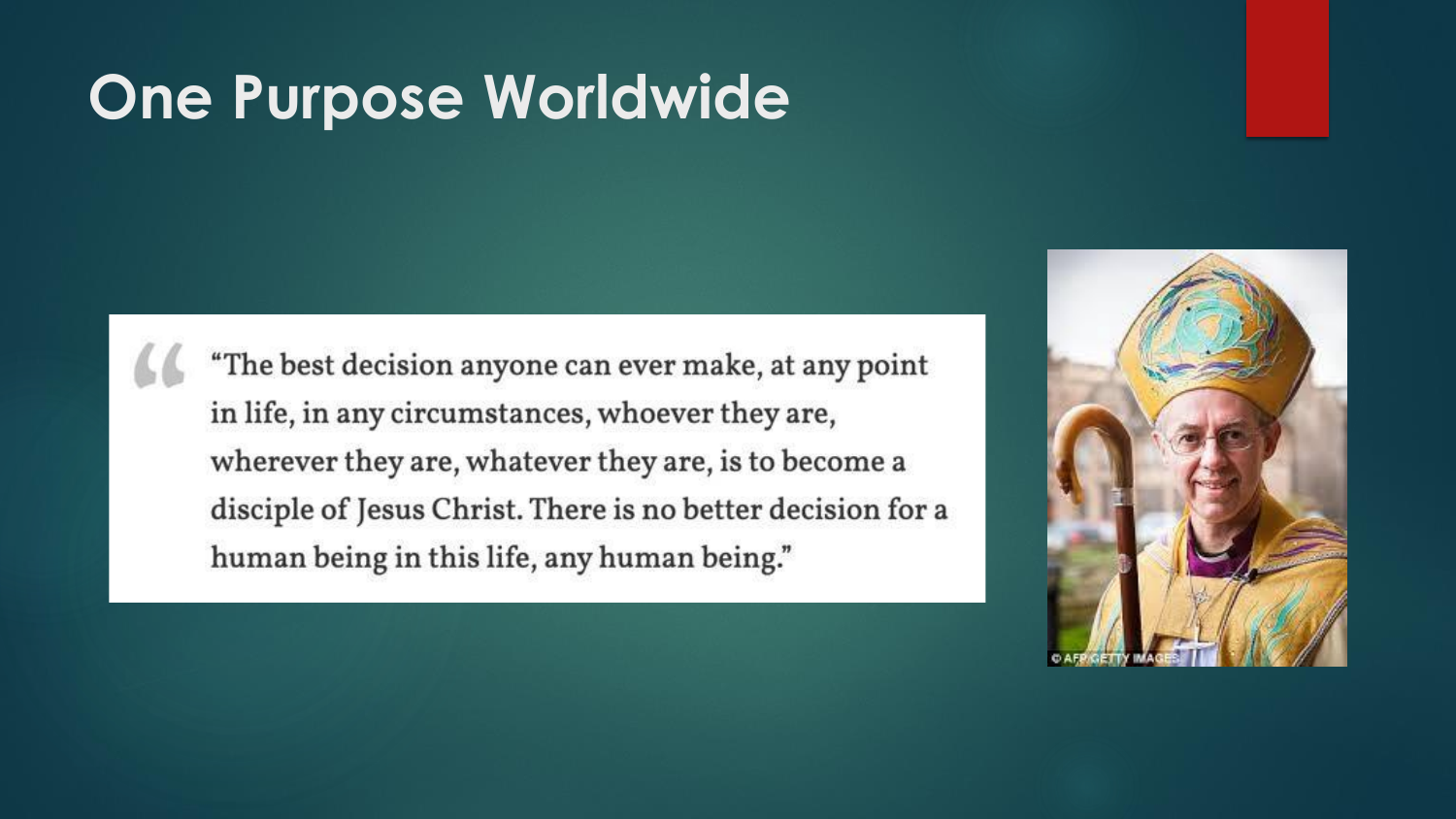#### **One Purpose Worldwide**



"The best decision anyone can ever make, at any point in life, in any circumstances, whoever they are, wherever they are, whatever they are, is to become a disciple of Jesus Christ. There is no better decision for a human being in this life, any human being."

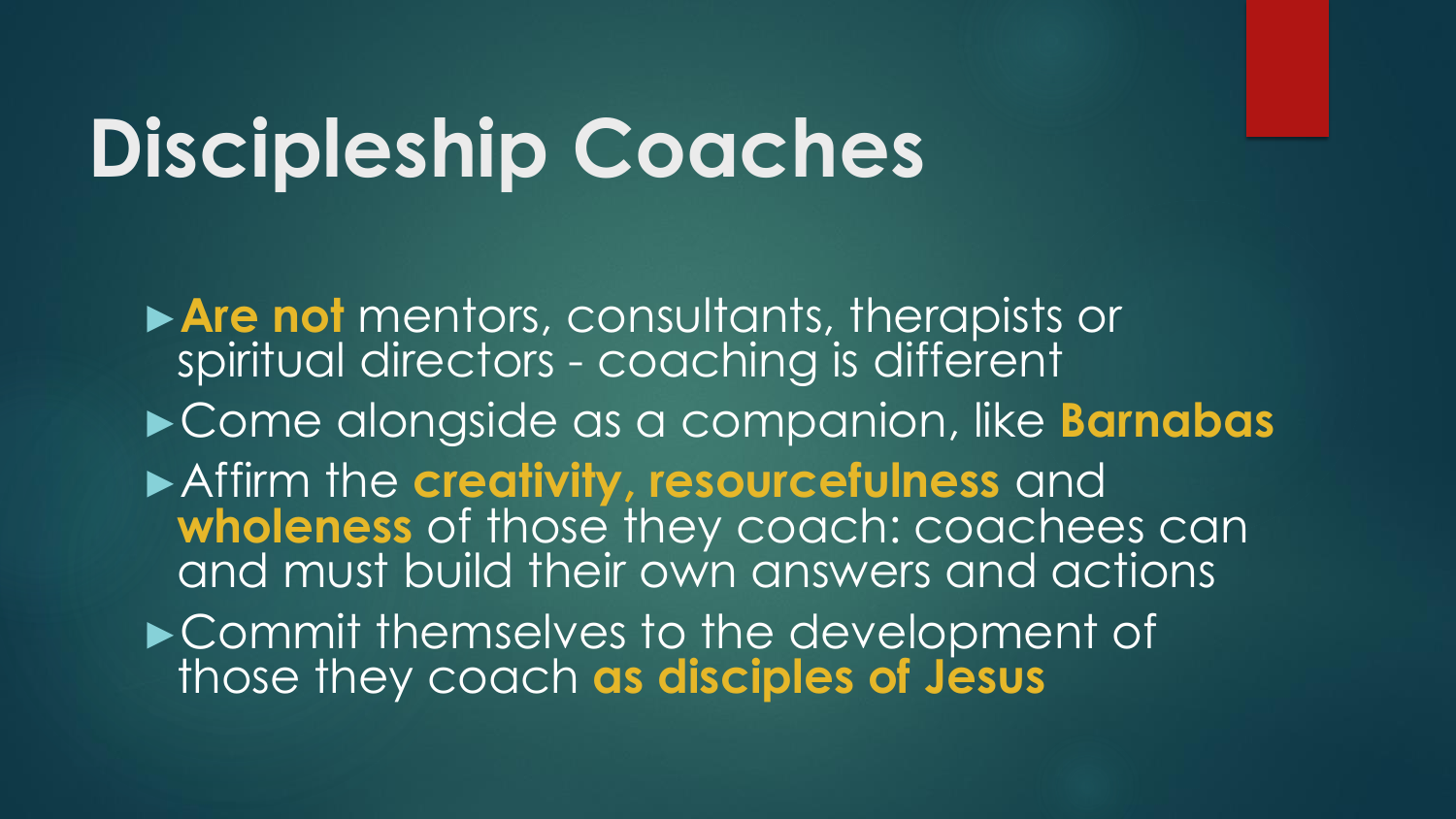# **Discipleship Coaches**

►**Are not** mentors, consultants, therapists or spiritual directors - coaching is different ►Come alongside as a companion, like **Barnabas** ►Affirm the **creativity, resourcefulness** and **wholeness** of those they coach: coachees can and must build their own answers and actions ►Commit themselves to the development of those they coach **as disciples of Jesus**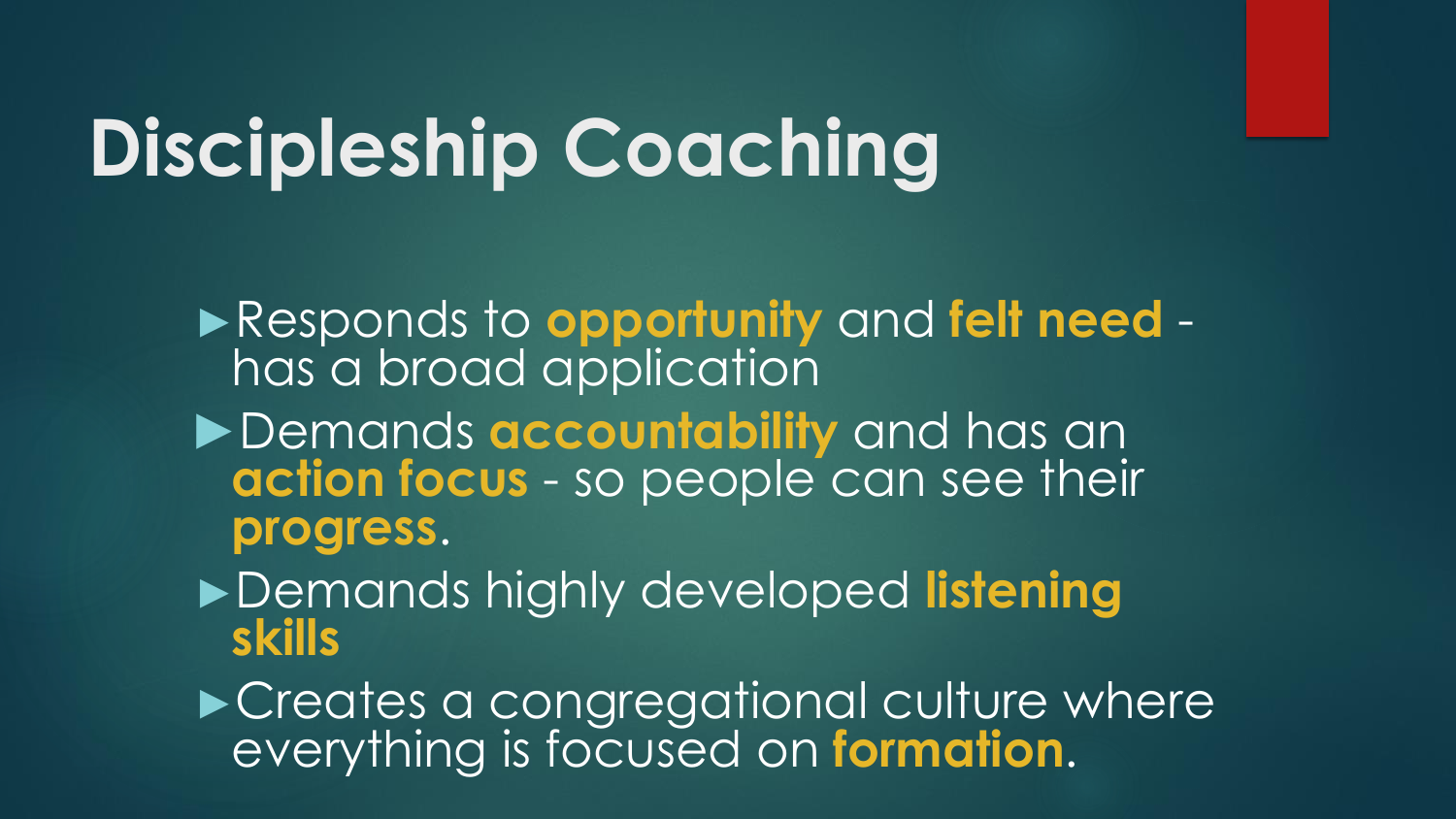# **Discipleship Coaching**

- ►Responds to **opportunity** and **felt need** has a broad application
- ►Demands **accountability** and has an **action focus** - so people can see their **progress**.
- ►Demands highly developed **listening skills**
- ► Creates a congregational culture where everything is focused on **formation**.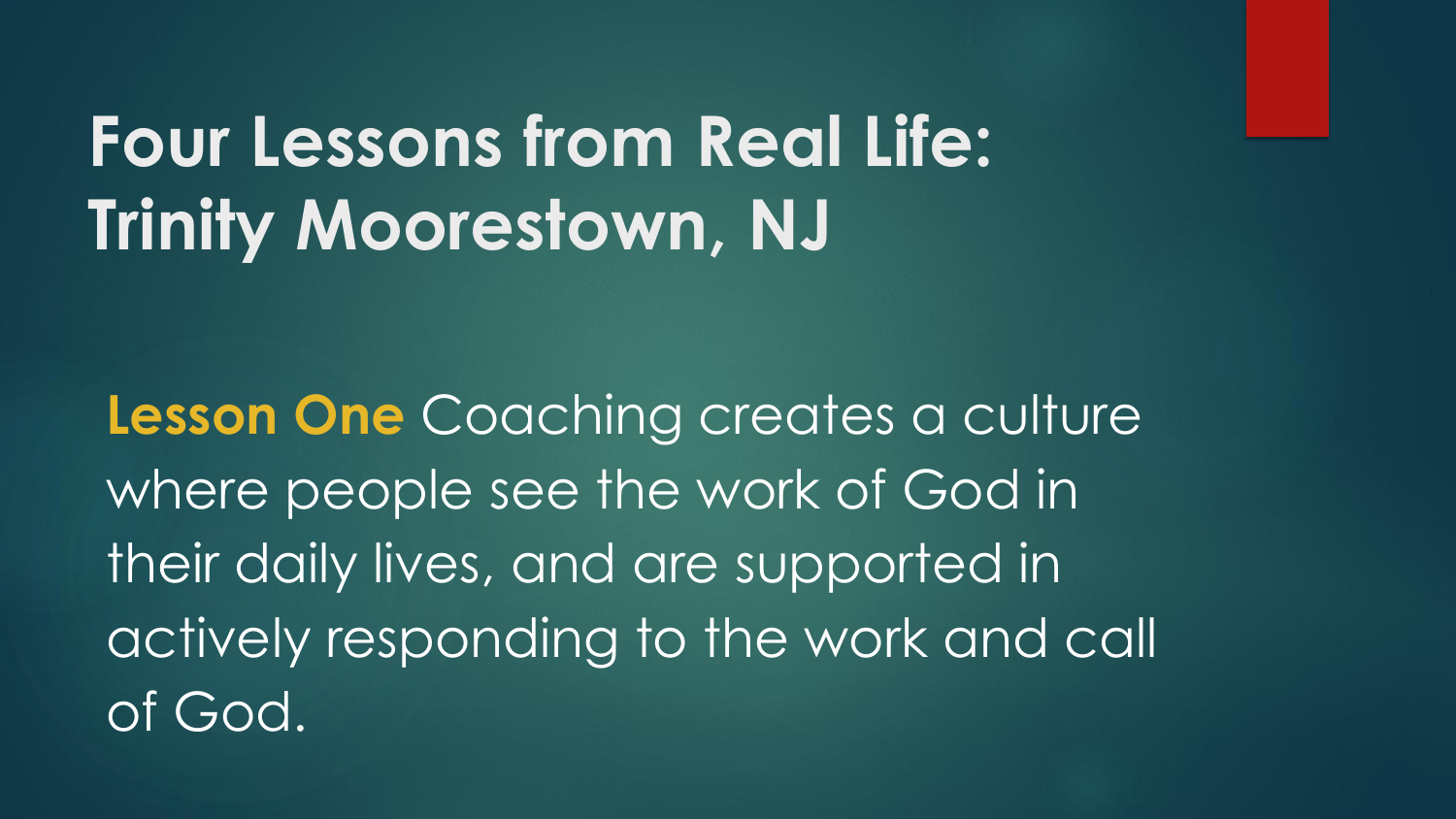**Lesson One** Coaching creates a culture where people see the work of God in their daily lives, and are supported in actively responding to the work and call of God.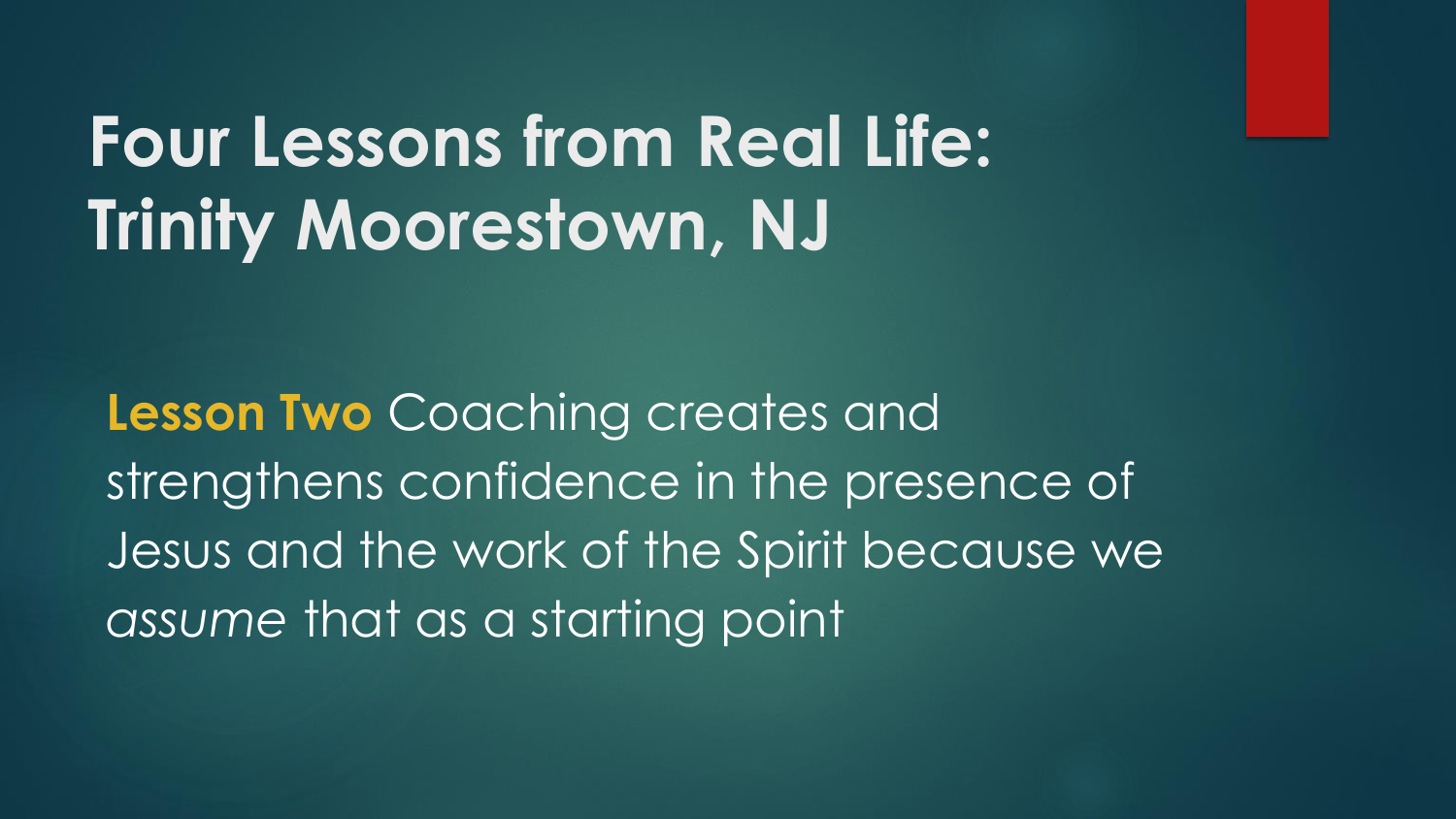**Lesson Two** Coaching creates and strengthens confidence in the presence of Jesus and the work of the Spirit because we *assume* that as a starting point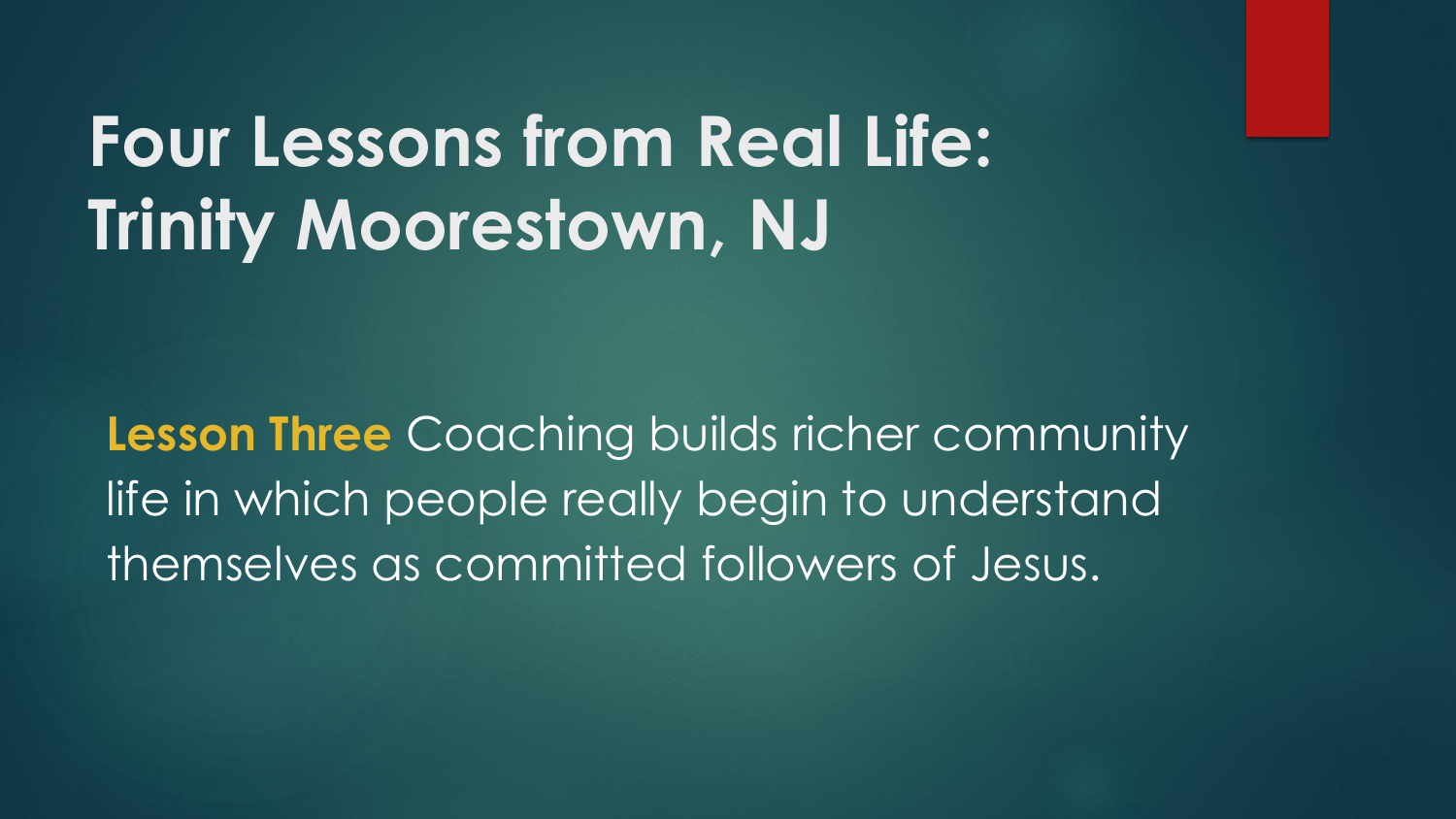**Lesson Three** Coaching builds richer community life in which people really begin to understand themselves as committed followers of Jesus.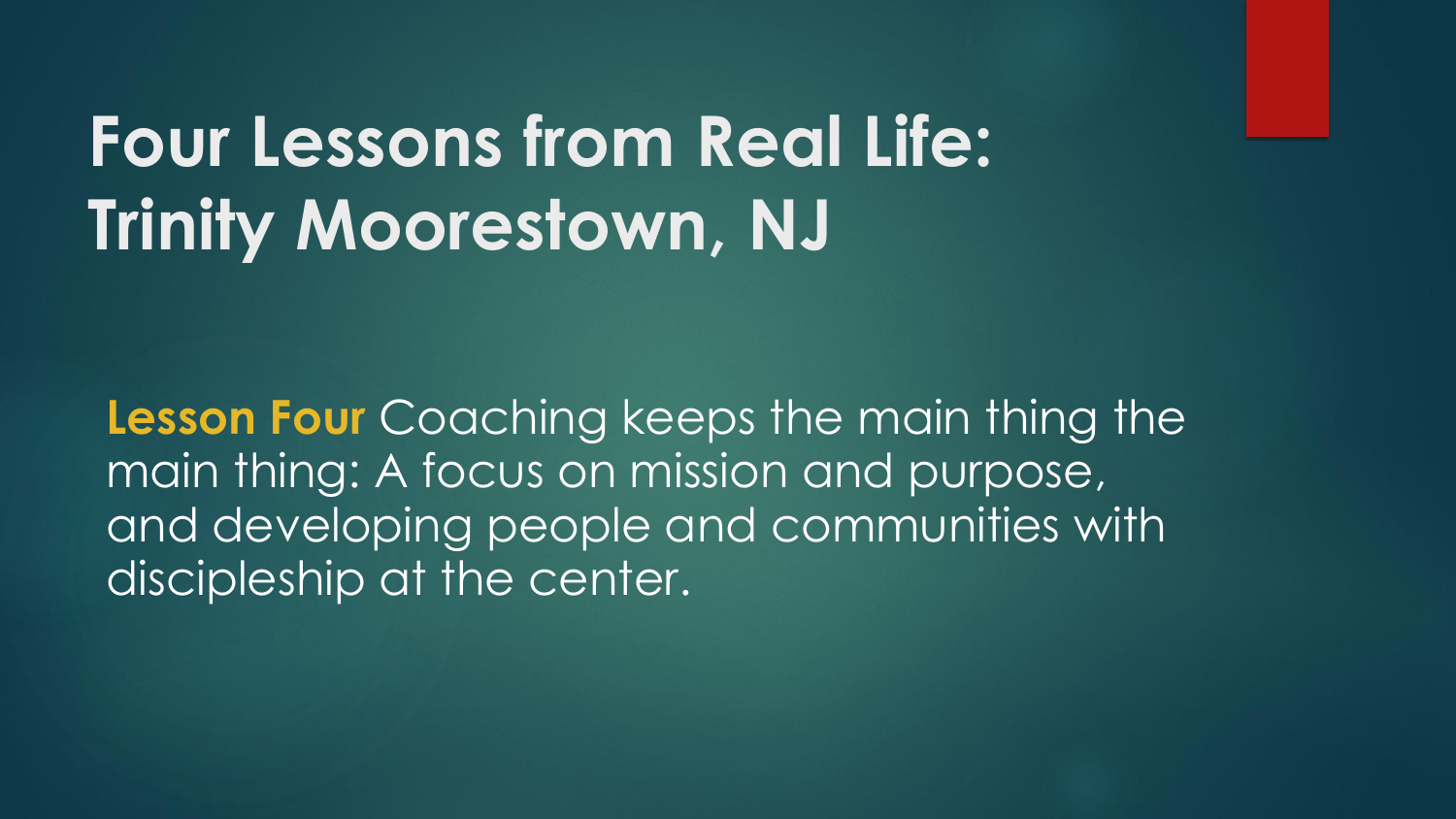**Lesson Four** Coaching keeps the main thing the main thing: A focus on mission and purpose, and developing people and communities with discipleship at the center.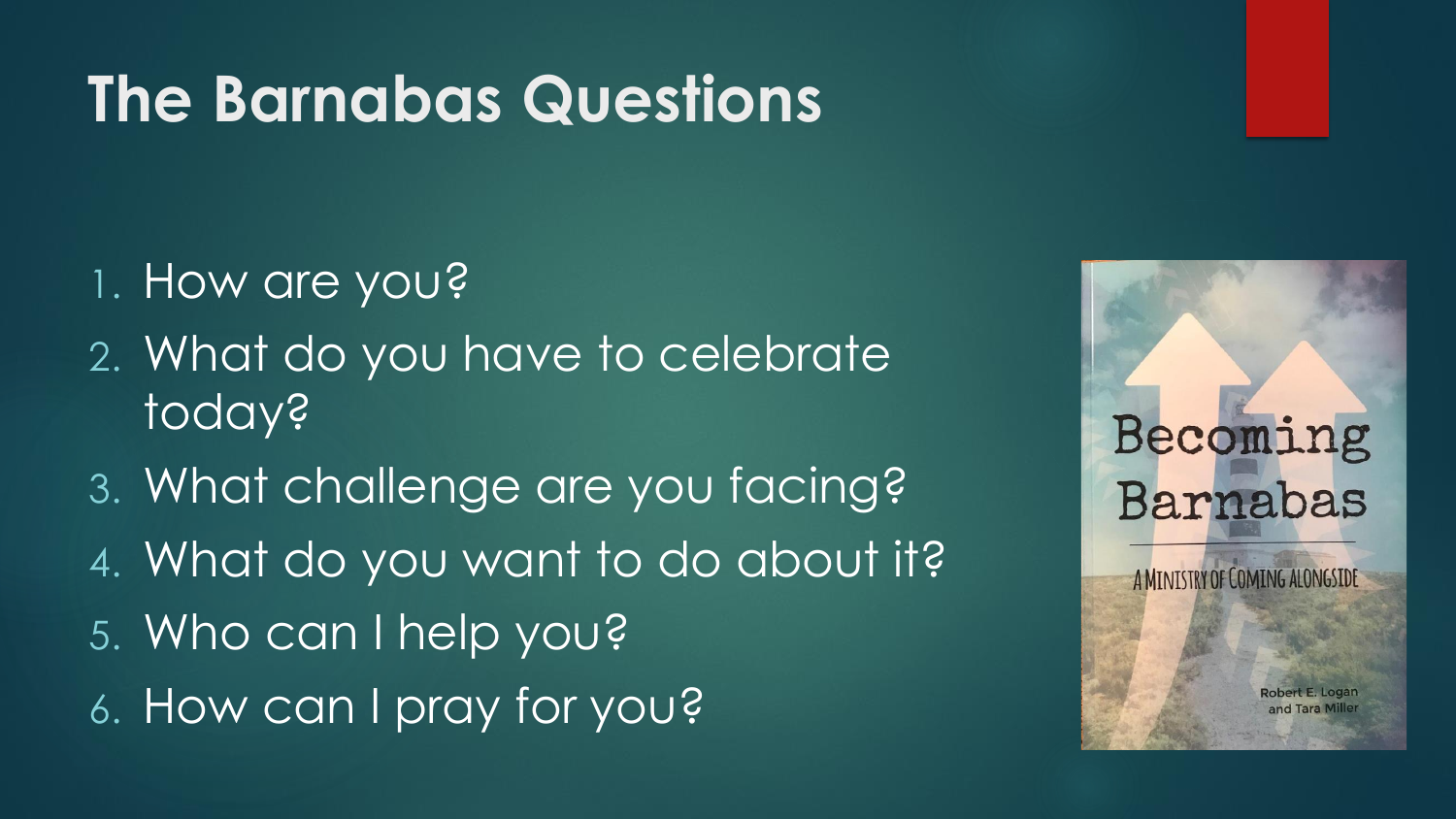#### **The Barnabas Questions**

- 1. How are you?
- 2. What do you have to celebrate today?
- 3. What challenge are you facing?
- 4. What do you want to do about it?
- 5. Who can I help you?
- 6. How can I pray for you?



**A MINISTRY OF COMING ALONGSIDE**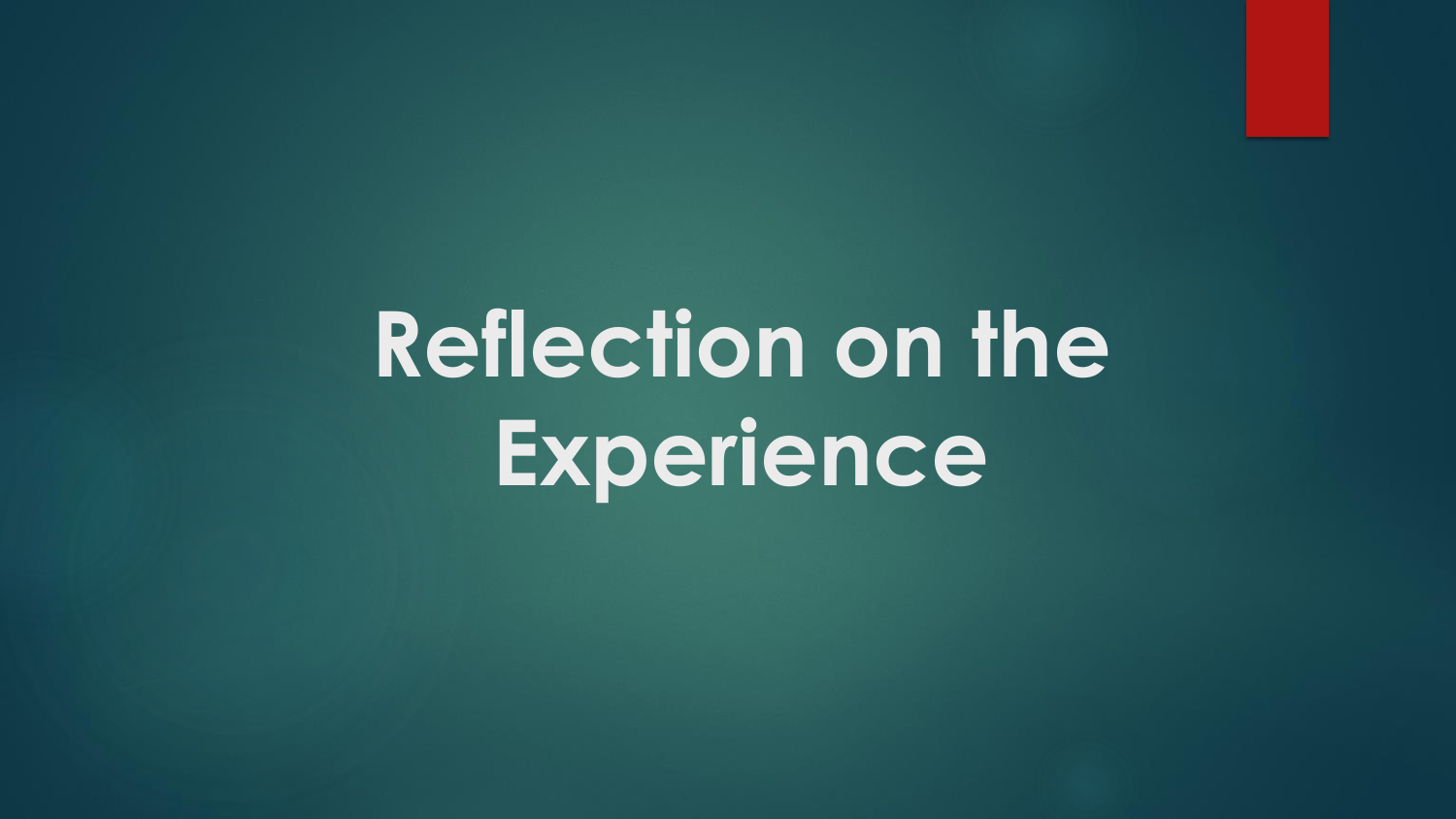# **Reflection on the Experience**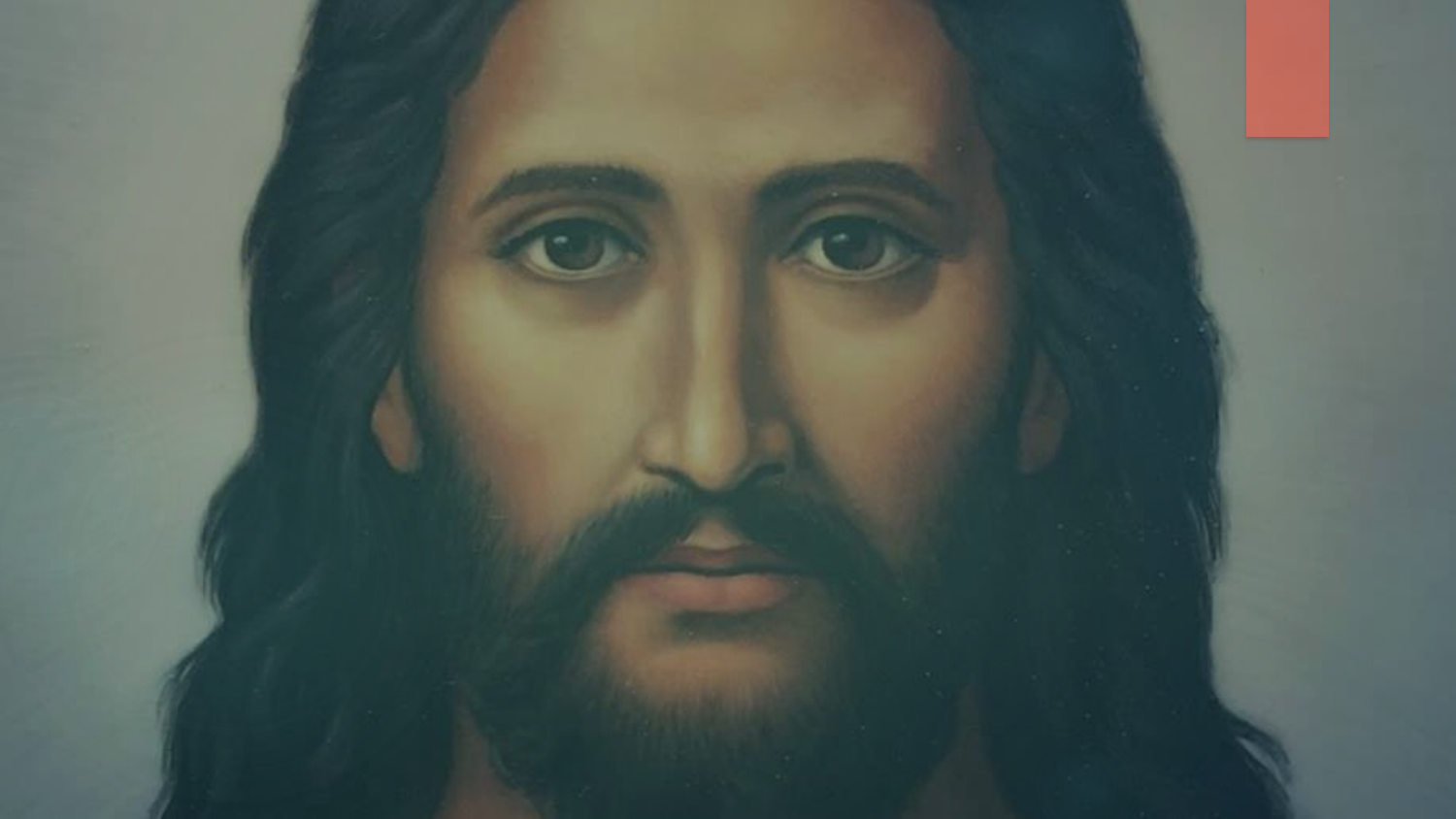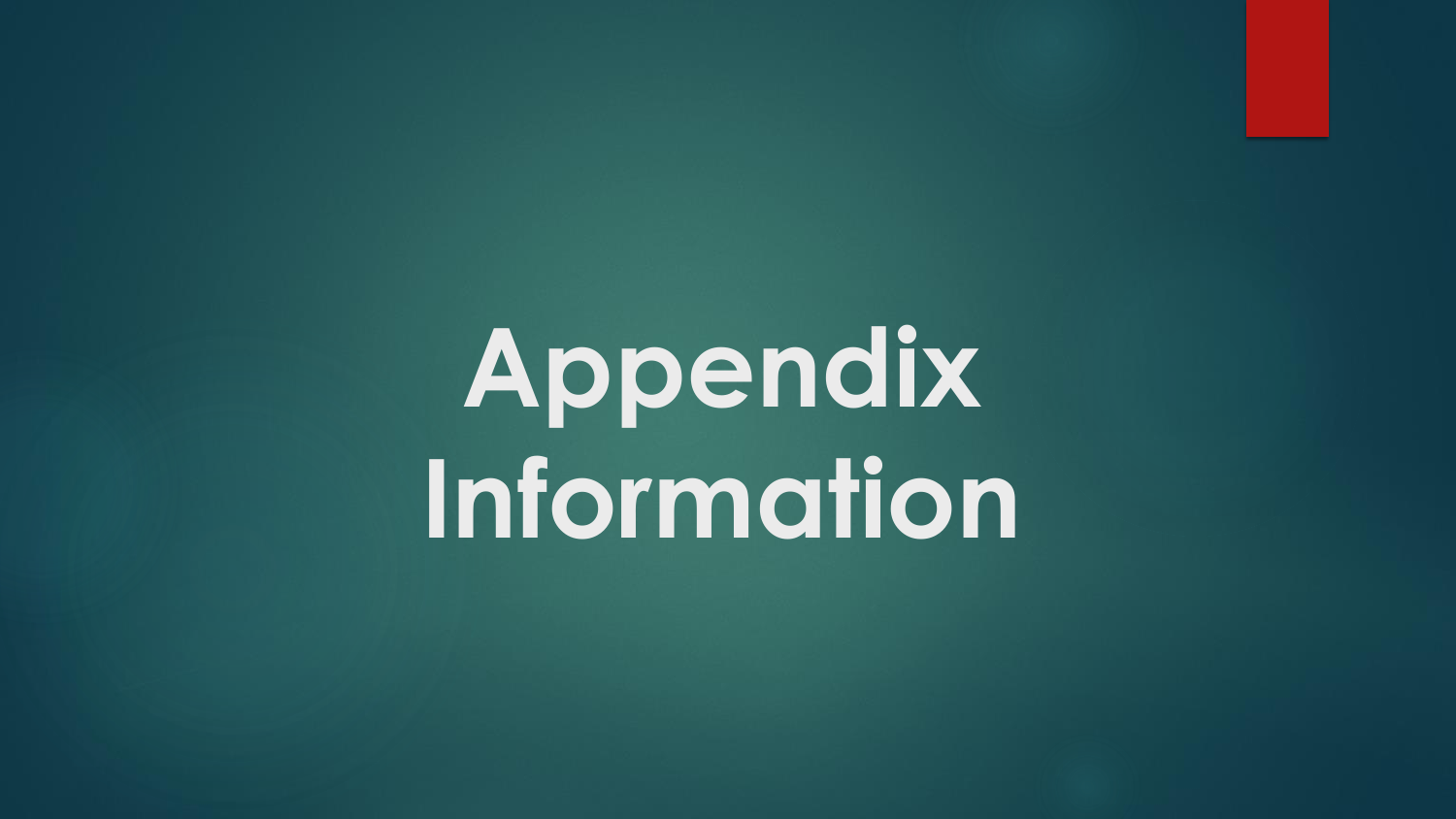**Appendix Information**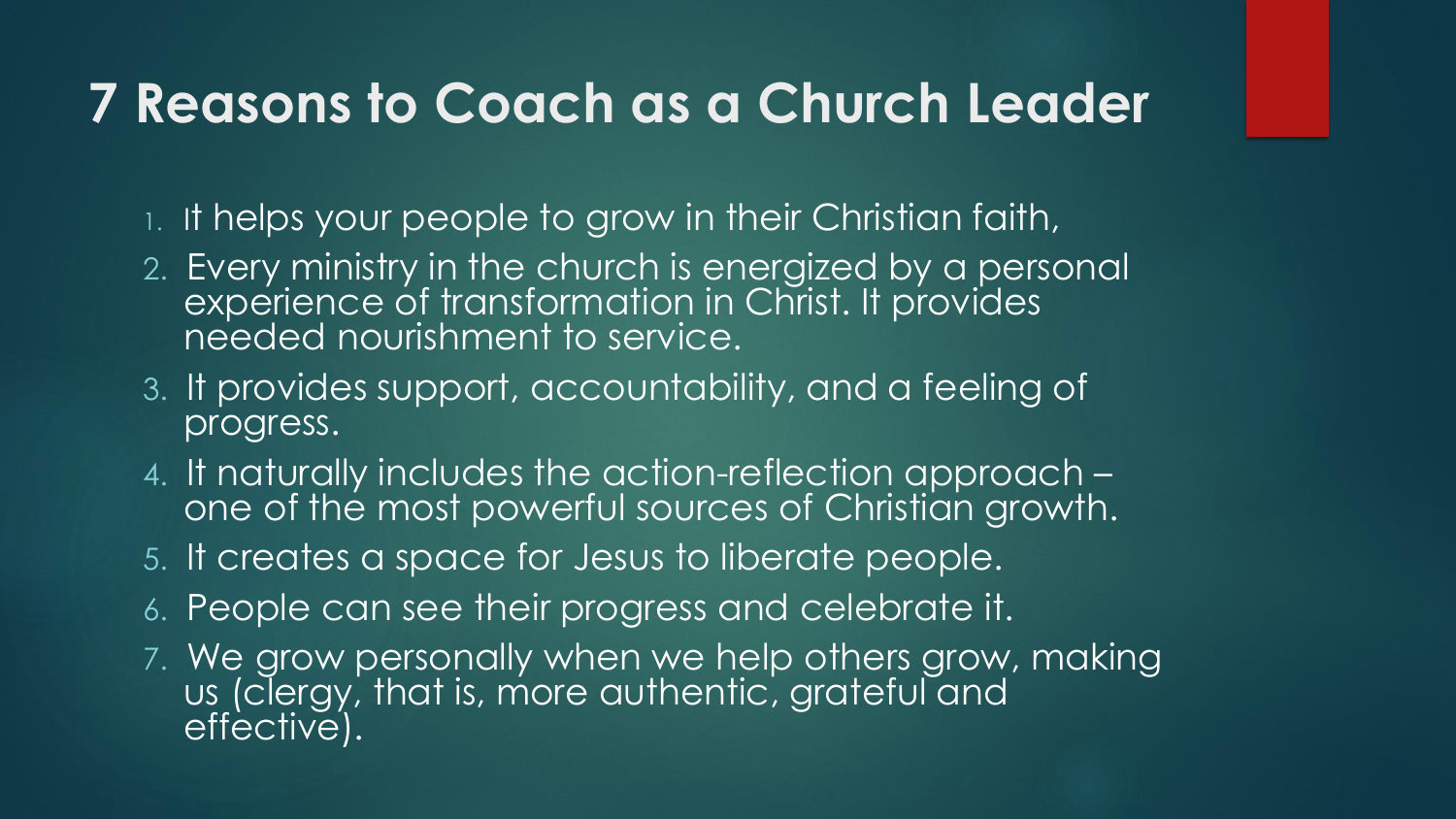#### **7 Reasons to Coach as a Church Leader**

- 1. It helps your people to grow in their Christian faith,
- 2. Every ministry in the church is energized by a personal experience of transformation in Christ. It provides needed nourishment to service.
- 3. It provides support, accountability, and a feeling of progress.
- 4. It naturally includes the action-reflection approach one of the most powerful sources of Christian growth.
- 5. It creates a space for Jesus to liberate people.
- 6. People can see their progress and celebrate it.
- 7. We grow personally when we help others grow, making us (clergy, that is, more authentic, grateful and effective).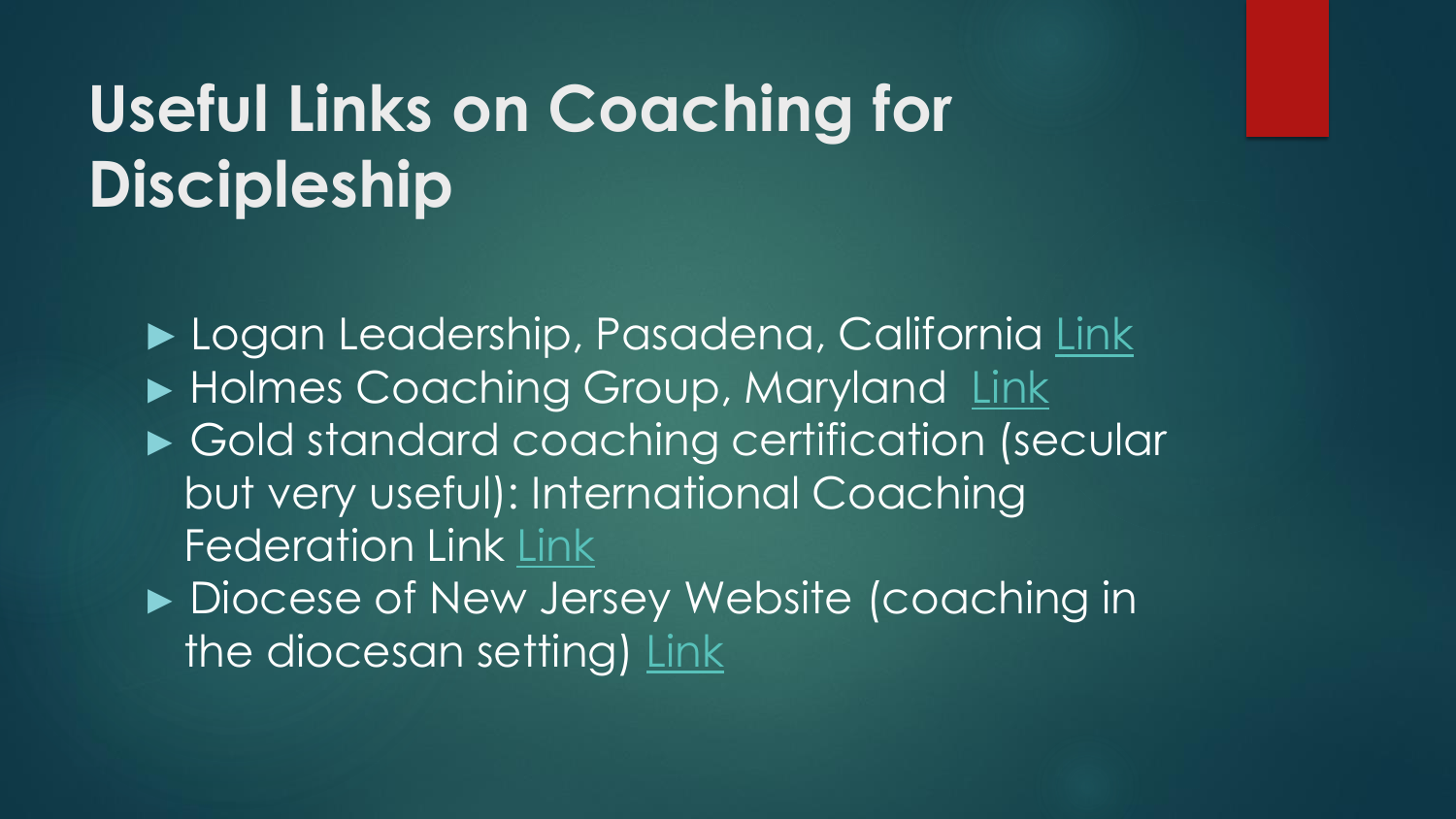#### **Useful Links on Coaching for Discipleship**

► Logan Leadership, Pasadena, California [Link](https://loganleadership.com/) ► Holmes Coaching Group, Maryland [Link](https://holmescoaching.com/) ► Gold standard coaching certification (secular but very useful): International Coaching Federation Link [Link](https://coachingfederation.org/) ► Diocese of New Jersey Website (coaching in

the diocesan setting) [Link](https://dioceseofnj.org/growingyourchurch/coaching-network-learn-to-lead/)